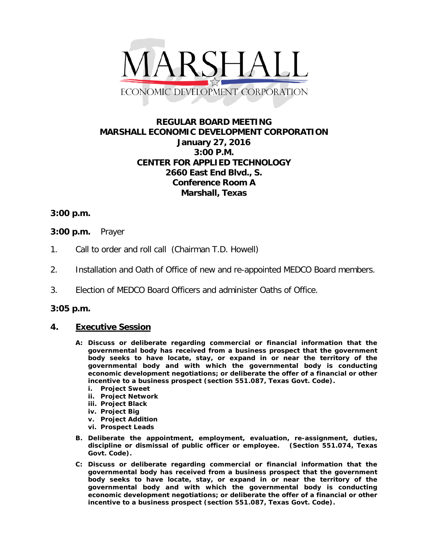

# **REGULAR BOARD MEETING MARSHALL ECONOMIC DEVELOPMENT CORPORATION January 27, 2016 3:00 P.M. CENTER FOR APPLIED TECHNOLOGY 2660 East End Blvd., S. Conference Room A Marshall, Texas**

## **3:00 p.m.**

### **3:00 p.m.** Prayer

- 1. Call to order and roll call (Chairman T.D. Howell)
- 2. Installation and Oath of Office of new and re-appointed MEDCO Board members.
- 3. Election of MEDCO Board Officers and administer Oaths of Office.

#### **3:05 p.m.**

#### **4. Executive Session**

- **A: Discuss or deliberate regarding commercial or financial information that the governmental body has received from a business prospect that the government body seeks to have locate, stay, or expand in or near the territory of the governmental body and with which the governmental body is conducting economic development negotiations; or deliberate the offer of a financial or other incentive to a business prospect (section 551.087, Texas Govt. Code).**
	- **i. Project Sweet**
	- **ii. Project Network**
	- **iii. Project Black**
	- **iv. Project Big**
	- **v. Project Addition**
	- **vi. Prospect Leads**
- **B. Deliberate the appointment, employment, evaluation, re-assignment, duties, discipline or dismissal of public officer or employee. (Section 551.074, Texas Govt. Code).**
- **C: Discuss or deliberate regarding commercial or financial information that the governmental body has received from a business prospect that the government body seeks to have locate, stay, or expand in or near the territory of the governmental body and with which the governmental body is conducting economic development negotiations; or deliberate the offer of a financial or other incentive to a business prospect (section 551.087, Texas Govt. Code).**